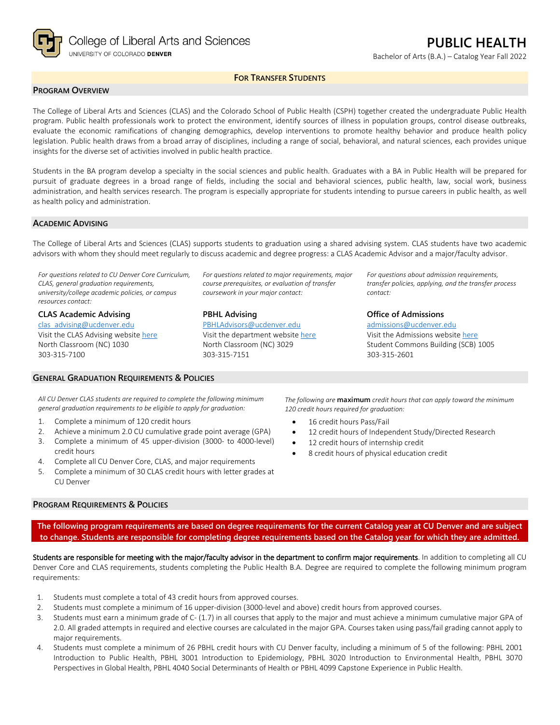

Bachelor of Arts (B.A.) – Catalog Year Fall 2022

# **FOR TRANSFER STUDENTS**

## **PROGRAM OVERVIEW**

The College of Liberal Arts and Sciences (CLAS) and the Colorado School of Public Health (CSPH) together created the undergraduate Public Health program. Public health professionals work to protect the environment, identify sources of illness in population groups, control disease outbreaks, evaluate the economic ramifications of changing demographics, develop interventions to promote healthy behavior and produce health policy legislation. Public health draws from a broad array of disciplines, including a range of social, behavioral, and natural sciences, each provides unique insights for the diverse set of activities involved in public health practice.

Students in the BA program develop a specialty in the social sciences and public health. Graduates with a BA in Public Health will be prepared for pursuit of graduate degrees in a broad range of fields, including the social and behavioral sciences, public health, law, social work, business administration, and health services research. The program is especially appropriate for students intending to pursue careers in public health, as well as health policy and administration.

#### **ACADEMIC ADVISING**

The College of Liberal Arts and Sciences (CLAS) supports students to graduation using a shared advising system. CLAS students have two academic advisors with whom they should meet regularly to discuss academic and degree progress: a CLAS Academic Advisor and a major/faculty advisor.

*For questions related to CU Denver Core Curriculum, CLAS, general graduation requirements, university/college academic policies, or campus resources contact:*

**CLAS Academic Advising** [clas\\_advising@ucdenver.edu](mailto:clas_advising@ucdenver.edu) Visit the CLAS Advising websit[e here](https://clas.ucdenver.edu/advising/) North Classroom (NC) 1030 303-315-7100

## **GENERAL GRADUATION REQUIREMENTS & POLICIES**

*For questions related to major requirements, major course prerequisites, or evaluation of transfer coursework in your major contact:*

## **PBHL Advising**

[PBHLAdvisors@ucdenver.edu](mailto:PBHLAdvisors@ucdenver.edu) Visit the department website [here](https://clas.ucdenver.edu/hbsc/degree-programs/bachelor-arts-or-science-public-health) North Classroom (NC) 3029 303-315-7151

*For questions about admission requirements, transfer policies, applying, and the transfer process contact:*

## **Office of Admissions**

[admissions@ucdenver.edu](mailto:admissions@ucdenver.edu) Visit the Admissions website [here](http://www.ucdenver.edu/admissions/Pages/index.aspx) Student Commons Building (SCB) 1005 303-315-2601

*All CU Denver CLAS students are required to complete the following minimum general graduation requirements to be eligible to apply for graduation:*

- 1. Complete a minimum of 120 credit hours
- 2. Achieve a minimum 2.0 CU cumulative grade point average (GPA)
- 3. Complete a minimum of 45 upper-division (3000- to 4000-level) credit hours
- 4. Complete all CU Denver Core, CLAS, and major requirements
- 5. Complete a minimum of 30 CLAS credit hours with letter grades at CU Denver

#### **PROGRAM REQUIREMENTS & POLICIES**

*The following are* **maximum** *credit hours that can apply toward the minimum 120 credit hours required for graduation:*

- 16 credit hours Pass/Fail
- 12 credit hours of Independent Study/Directed Research
- 12 credit hours of internship credit
- 8 credit hours of physical education credit

**The following program requirements are based on degree requirements for the current Catalog year at CU Denver and are subject to change. Students are responsible for completing degree requirements based on the Catalog year for which they are admitted.**

Students are responsible for meeting with the major/faculty advisor in the department to confirm major requirements. In addition to completing all CU Denver Core and CLAS requirements, students completing the Public Health B.A. Degree are required to complete the following minimum program requirements:

- 1. Students must complete a total of 43 credit hours from approved courses.
- 2. Students must complete a minimum of 16 upper-division (3000-level and above) credit hours from approved courses.
- 3. Students must earn a minimum grade of C- (1.7) in all courses that apply to the major and must achieve a minimum cumulative major GPA of 2.0. All graded attempts in required and elective courses are calculated in the major GPA. Courses taken using pass/fail grading cannot apply to major requirements.
- 4. Students must complete a minimum of 26 PBHL credit hours with CU Denver faculty, including a minimum of 5 of the following: PBHL 2001 Introduction to Public Health, PBHL 3001 Introduction to Epidemiology, PBHL 3020 Introduction to Environmental Health, PBHL 3070 Perspectives in Global Health, PBHL 4040 Social Determinants of Health or PBHL 4099 Capstone Experience in Public Health.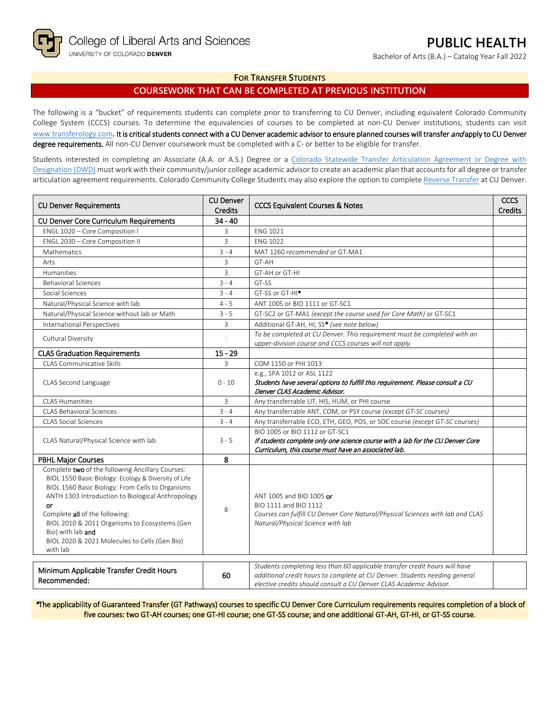Bachelor of Arts (B.A.) – Catalog Year Fall 2022

# **FOR TRANSFER STUDENTS**

# **COURSEWORK THAT CAN BE COMPLETED AT PREVIOUS INSTITUTION**

The following is a "bucket" of requirements students can complete prior to transferring to CU Denver, including equivalent Colorado Community College System (CCCS) courses. To determine the equivalencies of courses to be completed at non-CU Denver institutions, students can visit [www.transferology.com](http://www.transferology.com/)**.** It is critical students connect with a CU Denver academic advisor to ensure planned courses will transfer and apply to CU Denver degree requirements. All non-CU Denver coursework must be completed with a C- or better to be eligible for transfer.

Students interested in completing an Associate (A.A. or A.S.) Degree or a [Colorado Statewide Transfer Articulation Agreement or Degree with](https://highered.colorado.gov/transfer-degrees)  [Designation \(DWD\)](https://highered.colorado.gov/transfer-degrees) must work with their community/junior college academic advisor to create an academic plan that accounts for all degree or transfer articulation agreement requirements. Colorado Community College Students may also explore the option to complet[e Reverse Transfer](https://highered.colorado.gov/students/attending-college/colorado-reverse-transfer) at CU Denver.

| <b>CU Denver Requirements</b>                                                                                                                                                                                                                                                                                                                                                                | <b>CU Denver</b><br><b>Credits</b> | <b>CCCS Equivalent Courses &amp; Notes</b>                                                                                                                                                                                      |  |
|----------------------------------------------------------------------------------------------------------------------------------------------------------------------------------------------------------------------------------------------------------------------------------------------------------------------------------------------------------------------------------------------|------------------------------------|---------------------------------------------------------------------------------------------------------------------------------------------------------------------------------------------------------------------------------|--|
| <b>CU Denver Core Curriculum Requirements</b>                                                                                                                                                                                                                                                                                                                                                | $34 - 40$                          |                                                                                                                                                                                                                                 |  |
| ENGL 1020 - Core Composition I                                                                                                                                                                                                                                                                                                                                                               | 3                                  | <b>ENG 1021</b>                                                                                                                                                                                                                 |  |
| ENGL 2030 - Core Composition II                                                                                                                                                                                                                                                                                                                                                              | 3                                  | <b>ENG 1022</b>                                                                                                                                                                                                                 |  |
| Mathematics                                                                                                                                                                                                                                                                                                                                                                                  | $3 - 4$                            | MAT 1260 recommended or GT-MA1                                                                                                                                                                                                  |  |
| Arts                                                                                                                                                                                                                                                                                                                                                                                         | 3                                  | GT-AH                                                                                                                                                                                                                           |  |
| Humanities                                                                                                                                                                                                                                                                                                                                                                                   | 3                                  | GT-AH or GT-HI                                                                                                                                                                                                                  |  |
| <b>Behavioral Sciences</b>                                                                                                                                                                                                                                                                                                                                                                   | $3 - 4$                            | GT-SS                                                                                                                                                                                                                           |  |
| Social Sciences                                                                                                                                                                                                                                                                                                                                                                              | $3 - 4$                            | GT-SS or GT-HI <sup>*</sup>                                                                                                                                                                                                     |  |
| Natural/Physical Science with lab                                                                                                                                                                                                                                                                                                                                                            | $4 - 5$                            | ANT 1005 or BIO 1111 or GT-SC1                                                                                                                                                                                                  |  |
| Natural/Physical Science without lab or Math                                                                                                                                                                                                                                                                                                                                                 | $3 - 5$                            | GT-SC2 or GT-MA1 (except the course used for Core Math) or GT-SC1                                                                                                                                                               |  |
| <b>International Perspectives</b>                                                                                                                                                                                                                                                                                                                                                            | 3                                  | Additional GT-AH, HI, SS* (see note below)                                                                                                                                                                                      |  |
| Cultural Diversity                                                                                                                                                                                                                                                                                                                                                                           | 3                                  | To be completed at CU Denver. This requirement must be completed with an<br>upper-division course and CCCS courses will not apply.                                                                                              |  |
| <b>CLAS Graduation Requirements</b>                                                                                                                                                                                                                                                                                                                                                          | $15 - 29$                          |                                                                                                                                                                                                                                 |  |
| CLAS Communicative Skills                                                                                                                                                                                                                                                                                                                                                                    | 3                                  | COM 1150 or PHI 1013                                                                                                                                                                                                            |  |
|                                                                                                                                                                                                                                                                                                                                                                                              |                                    | e.g., SPA 1012 or ASL 1122                                                                                                                                                                                                      |  |
| CLAS Second Language                                                                                                                                                                                                                                                                                                                                                                         | $0 - 10$                           | Students have several options to fulfill this requirement. Please consult a CU                                                                                                                                                  |  |
|                                                                                                                                                                                                                                                                                                                                                                                              |                                    | Denver CLAS Academic Advisor.                                                                                                                                                                                                   |  |
| <b>CLAS Humanities</b>                                                                                                                                                                                                                                                                                                                                                                       | 3                                  | Any transferrable LIT, HIS, HUM, or PHI course                                                                                                                                                                                  |  |
| <b>CLAS Behavioral Sciences</b>                                                                                                                                                                                                                                                                                                                                                              | $3 - 4$                            | Any transferrable ANT, COM, or PSY course (except GT-SC courses)                                                                                                                                                                |  |
| <b>CLAS Social Sciences</b>                                                                                                                                                                                                                                                                                                                                                                  | $3 - 4$                            | Any transferrable ECO, ETH, GEO, POS, or SOC course (except GT-SC courses)                                                                                                                                                      |  |
|                                                                                                                                                                                                                                                                                                                                                                                              |                                    | BIO 1005 or BIO 1112 or GT-SC1                                                                                                                                                                                                  |  |
| CLAS Natural/Physical Science with lab                                                                                                                                                                                                                                                                                                                                                       | $3 - 5$                            | If students complete only one science course with a lab for the CU Denver Core                                                                                                                                                  |  |
|                                                                                                                                                                                                                                                                                                                                                                                              |                                    | Curriculum, this course must have an associated lab.                                                                                                                                                                            |  |
| <b>PBHL Major Courses</b>                                                                                                                                                                                                                                                                                                                                                                    | 8                                  |                                                                                                                                                                                                                                 |  |
| Complete two of the following Ancillary Courses:<br>BIOL 1550 Basic Biology: Ecology & Diversity of Life<br>BIOL 1560 Basic Biology: From Cells to Organisms<br>ANTH 1303 Introduction to Biological Anthropology<br>or<br>Complete all of the following:<br>BIOL 2010 & 2011 Organisms to Ecosystems (Gen<br>Bio) with lab and<br>BIOL 2020 & 2021 Molecules to Cells (Gen Bio)<br>with lab | 8                                  | ANT 1005 and BIO 1005 or<br>BIO 1111 and BIO 1112<br>Courses can fulfill CU Denver Core Natural/Physical Sciences with lab and CLAS<br>Natural/Physical Science with lab                                                        |  |
| Minimum Applicable Transfer Credit Hours<br>Recommended:                                                                                                                                                                                                                                                                                                                                     | 60                                 | Students completing less than 60 applicable transfer credit hours will have<br>additional credit hours to complete at CU Denver. Students needing general<br>elective credits should consult a CU Denver CLAS Academic Advisor. |  |

\*The applicability of Guaranteed Transfer (GT Pathways) courses to specific CU Denver Core Curriculum requirements requires completion of a block of five courses: two GT-AH courses; one GT-HI course; one GT-SS course; and one additional GT-AH, GT-HI, or GT-SS course.